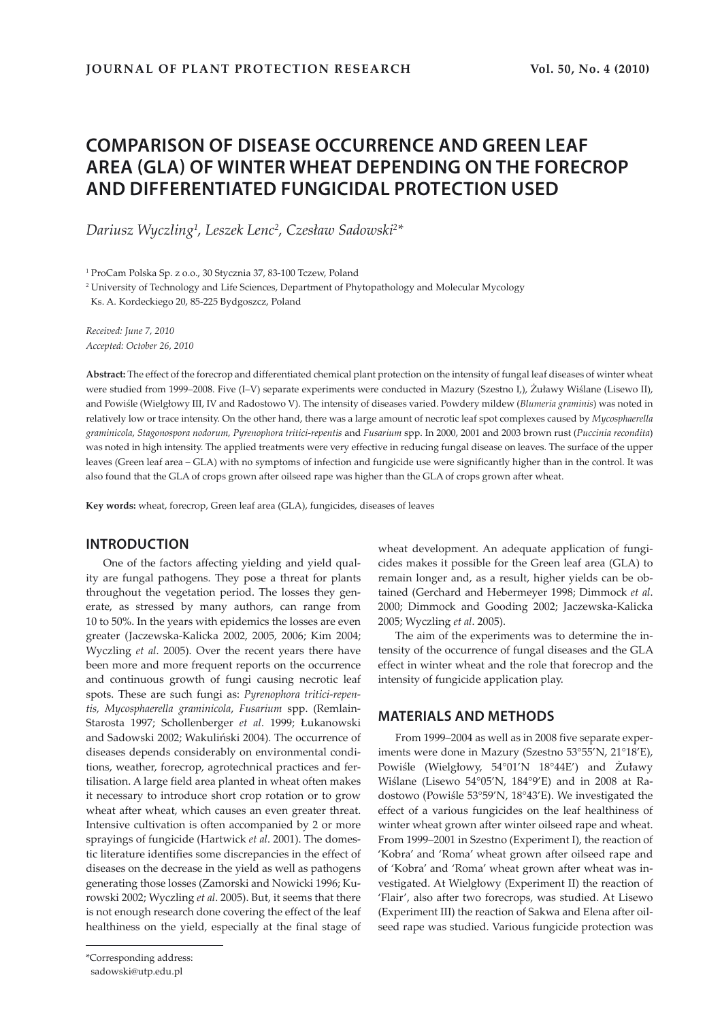# **COMPARISON OF DISEASE OCCURRENCE AND GREEN LEAF AREA (GLA) OF WINTER WHEAT DEPENDING ON THE FORECROP AND DIFFERENTIATED FUNGICIDAL PROTECTION USED**

*Dariusz Wyczling1 , Leszek Lenc2 , Czesław Sadowski<sup>2</sup> \** 

1 ProCam Polska Sp. z o.o., 30 Stycznia 37, 83-100 Tczew, Poland

2 University of Technology and Life Sciences, Department of Phytopathology and Molecular Mycology

Ks. A. Kordeckiego 20, 85-225 Bydgoszcz, Poland

*Received: June 7, 2010 Accepted: October 26, 2010*

**Abstract:** The effect of the forecrop and differentiated chemical plant protection on the intensity of fungal leaf diseases of winter wheat were studied from 1999–2008. Five (I–V) separate experiments were conducted in Mazury (Szestno I,), Żuławy Wiślane (Lisewo II), and Powiśle (Wielgłowy III, IV and Radostowo V). The intensity of diseases varied. Powdery mildew (*Blumeria graminis*) was noted in relatively low or trace intensity. On the other hand, there was a large amount of necrotic leaf spot complexes caused by *Mycosphaerella graminicola*, *Stagonospora nodorum, Pyrenophora tritici-repentis* and *Fusarium* spp. In 2000, 2001 and 2003 brown rust (*Puccinia recondita*) was noted in high intensity. The applied treatments were very effective in reducing fungal disease on leaves. The surface of the upper leaves (Green leaf area – GLA) with no symptoms of infection and fungicide use were significantly higher than in the control. It was also found that the GLA of crops grown after oilseed rape was higher than the GLA of crops grown after wheat.

**Key words:** wheat, forecrop, Green leaf area (GLA), fungicides, diseases of leaves

#### **INTRODUCTION**

One of the factors affecting yielding and yield quality are fungal pathogens. They pose a threat for plants throughout the vegetation period. The losses they generate, as stressed by many authors, can range from 10 to 50%. In the years with epidemics the losses are even greater (Jaczewska-Kalicka 2002, 2005, 2006; Kim 2004; Wyczling *et al*. 2005). Over the recent years there have been more and more frequent reports on the occurrence and continuous growth of fungi causing necrotic leaf spots. These are such fungi as: *Pyrenophora tritici-repentis, Mycosphaerella graminicola*, *Fusarium* spp. (Remlain-Starosta 1997; Schollenberger *et al*. 1999; Łukanowski and Sadowski 2002; Wakuliński 2004). The occurrence of diseases depends considerably on environmental conditions, weather, forecrop, agrotechnical practices and fertilisation. A large field area planted in wheat often makes it necessary to introduce short crop rotation or to grow wheat after wheat, which causes an even greater threat. Intensive cultivation is often accompanied by 2 or more sprayings of fungicide (Hartwick *et al*. 2001). The domestic literature identifies some discrepancies in the effect of diseases on the decrease in the yield as well as pathogens generating those losses (Zamorski and Nowicki 1996; Kurowski 2002; Wyczling *et al*. 2005). But, it seems that there is not enough research done covering the effect of the leaf healthiness on the yield, especially at the final stage of

The aim of the experiments was to determine the intensity of the occurrence of fungal diseases and the GLA effect in winter wheat and the role that forecrop and the intensity of fungicide application play.

## **MATERIALS AND METHODS**

From 1999–2004 as well as in 2008 five separate experiments were done in Mazury (Szestno 53°55'N, 21°18'E), Powiśle (Wielgłowy, 54°01'N 18°44E') and Żuławy Wiślane (Lisewo 54°05'N, 184°9'E) and in 2008 at Radostowo (Powiśle 53°59'N, 18°43'E). We investigated the effect of a various fungicides on the leaf healthiness of winter wheat grown after winter oilseed rape and wheat. From 1999–2001 in Szestno (Experiment I), the reaction of 'Kobra' and 'Roma' wheat grown after oilseed rape and of 'Kobra' and 'Roma' wheat grown after wheat was investigated. At Wielgłowy (Experiment II) the reaction of 'Flair', also after two forecrops, was studied. At Lisewo (Experiment III) the reaction of Sakwa and Elena after oilseed rape was studied. Various fungicide protection was

wheat development. An adequate application of fungicides makes it possible for the Green leaf area (GLA) to remain longer and, as a result, higher yields can be obtained (Gerchard and Hebermeyer 1998; Dimmock *et al*. 2000; Dimmock and Gooding 2002; Jaczewska-Kalicka 2005; Wyczling *et al*. 2005).

<sup>\*</sup>Corresponding address:

sadowski@utp.edu.pl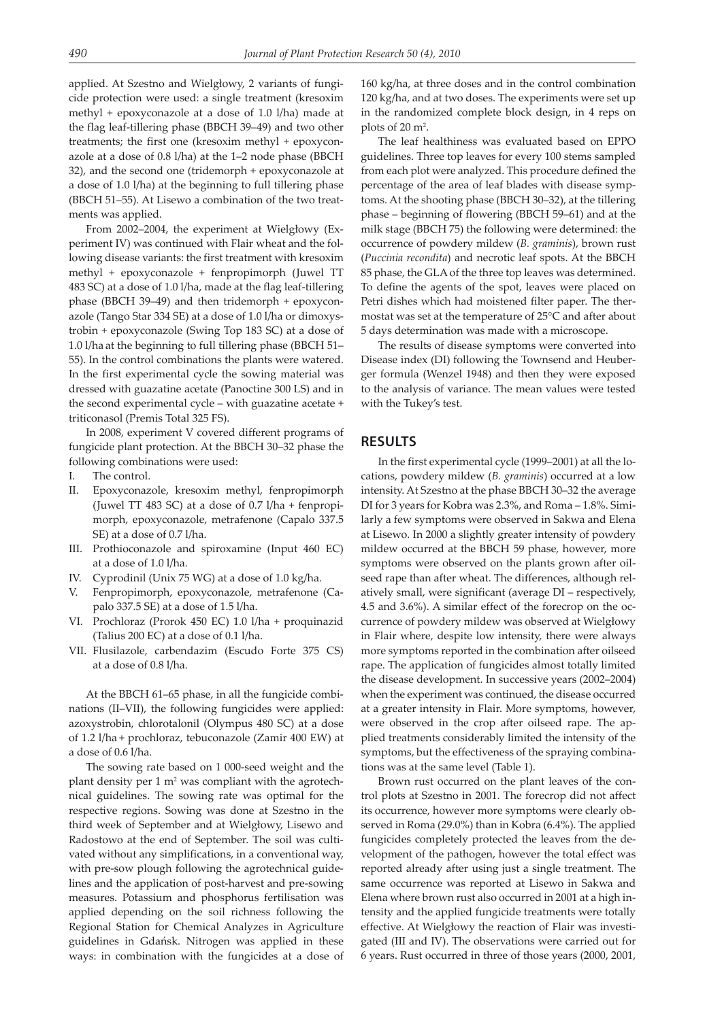applied. At Szestno and Wielgłowy, 2 variants of fungicide protection were used: a single treatment (kresoxim methyl + epoxyconazole at a dose of 1.0 l/ha) made at the flag leaf-tillering phase (BBCH 39–49) and two other treatments; the first one (kresoxim methyl + epoxyconazole at a dose of 0.8 l/ha) at the 1–2 node phase (BBCH 32), and the second one (tridemorph + epoxyconazole at a dose of 1.0 l/ha) at the beginning to full tillering phase (BBCH 51–55). At Lisewo a combination of the two treatments was applied.

From 2002–2004, the experiment at Wielgłowy (Experiment IV) was continued with Flair wheat and the following disease variants: the first treatment with kresoxim methyl + epoxyconazole + fenpropimorph (Juwel TT 483 SC) at a dose of 1.0 l/ha, made at the flag leaf-tillering phase (BBCH 39–49) and then tridemorph + epoxyconazole (Tango Star 334 SE) at a dose of 1.0 l/ha or dimoxystrobin + epoxyconazole (Swing Top 183 SC) at a dose of 1.0 l/ha at the beginning to full tillering phase (BBCH 51– 55). In the control combinations the plants were watered. In the first experimental cycle the sowing material was dressed with guazatine acetate (Panoctine 300 LS) and in the second experimental cycle – with guazatine acetate + triticonasol (Premis Total 325 FS).

In 2008, experiment V covered different programs of fungicide plant protection. At the BBCH 30–32 phase the following combinations were used:

- I. The control.
- II. Epoxyconazole, kresoxim methyl, fenpropimorph (Juwel TT 483 SC) at a dose of 0.7 l/ha + fenpropimorph, epoxyconazole, metrafenone (Capalo 337.5 SE) at a dose of 0.7 l/ha.
- III. Prothioconazole and spiroxamine (Input 460 EC) at a dose of 1.0 l/ha.
- IV. Cyprodinil (Unix 75 WG) at a dose of 1.0 kg/ha.
- V. Fenpropimorph, epoxyconazole, metrafenone (Capalo 337.5 SE) at a dose of 1.5 l/ha.
- VI. Prochloraz (Prorok 450 EC) 1.0 l/ha + proquinazid (Talius 200 EC) at a dose of 0.1 l/ha.
- VII. Flusilazole, carbendazim (Escudo Forte 375 CS) at a dose of 0.8 l/ha.

At the BBCH 61–65 phase, in all the fungicide combinations (II–VII), the following fungicides were applied: azoxystrobin, chlorotalonil (Olympus 480 SC) at a dose of 1.2 l/ha + prochloraz, tebuconazole (Zamir 400 EW) at a dose of 0.6 l/ha.

The sowing rate based on 1 000-seed weight and the plant density per 1 m<sup>2</sup> was compliant with the agrotechnical guidelines. The sowing rate was optimal for the respective regions. Sowing was done at Szestno in the third week of September and at Wielgłowy, Lisewo and Radostowo at the end of September. The soil was cultivated without any simplifications, in a conventional way, with pre-sow plough following the agrotechnical guidelines and the application of post-harvest and pre-sowing measures. Potassium and phosphorus fertilisation was applied depending on the soil richness following the Regional Station for Chemical Analyzes in Agriculture guidelines in Gdańsk. Nitrogen was applied in these ways: in combination with the fungicides at a dose of 160 kg/ha, at three doses and in the control combination 120 kg/ha, and at two doses. The experiments were set up in the randomized complete block design, in 4 reps on plots of  $20 \text{ m}^2$ .

The leaf healthiness was evaluated based on EPPO guidelines. Three top leaves for every 100 stems sampled from each plot were analyzed. This procedure defined the percentage of the area of leaf blades with disease symptoms. At the shooting phase (BBCH 30–32), at the tillering phase – beginning of flowering (BBCH 59–61) and at the milk stage (BBCH 75) the following were determined: the occurrence of powdery mildew (*B. graminis*), brown rust (*Puccinia recondita*) and necrotic leaf spots. At the BBCH 85 phase, the GLA of the three top leaves was determined. To define the agents of the spot, leaves were placed on Petri dishes which had moistened filter paper. The thermostat was set at the temperature of 25°C and after about 5 days determination was made with a microscope.

The results of disease symptoms were converted into Disease index (DI) following the Townsend and Heuberger formula (Wenzel 1948) and then they were exposed to the analysis of variance. The mean values were tested with the Tukey's test.

#### **RESULTS**

In the first experimental cycle (1999–2001) at all the locations, powdery mildew (*B. graminis*) occurred at a low intensity. At Szestno at the phase BBCH 30–32 the average DI for 3 years for Kobra was 2.3%, and Roma – 1.8%. Similarly a few symptoms were observed in Sakwa and Elena at Lisewo. In 2000 a slightly greater intensity of powdery mildew occurred at the BBCH 59 phase, however, more symptoms were observed on the plants grown after oilseed rape than after wheat. The differences, although relatively small, were significant (average DI – respectively, 4.5 and 3.6%). A similar effect of the forecrop on the occurrence of powdery mildew was observed at Wielgłowy in Flair where, despite low intensity, there were always more symptoms reported in the combination after oilseed rape. The application of fungicides almost totally limited the disease development. In successive years (2002–2004) when the experiment was continued, the disease occurred at a greater intensity in Flair. More symptoms, however, were observed in the crop after oilseed rape. The applied treatments considerably limited the intensity of the symptoms, but the effectiveness of the spraying combinations was at the same level (Table 1).

Brown rust occurred on the plant leaves of the control plots at Szestno in 2001. The forecrop did not affect its occurrence, however more symptoms were clearly observed in Roma (29.0%) than in Kobra (6.4%). The applied fungicides completely protected the leaves from the development of the pathogen, however the total effect was reported already after using just a single treatment. The same occurrence was reported at Lisewo in Sakwa and Elena where brown rust also occurred in 2001 at a high intensity and the applied fungicide treatments were totally effective. At Wielgłowy the reaction of Flair was investigated (III and IV). The observations were carried out for 6 years. Rust occurred in three of those years (2000, 2001,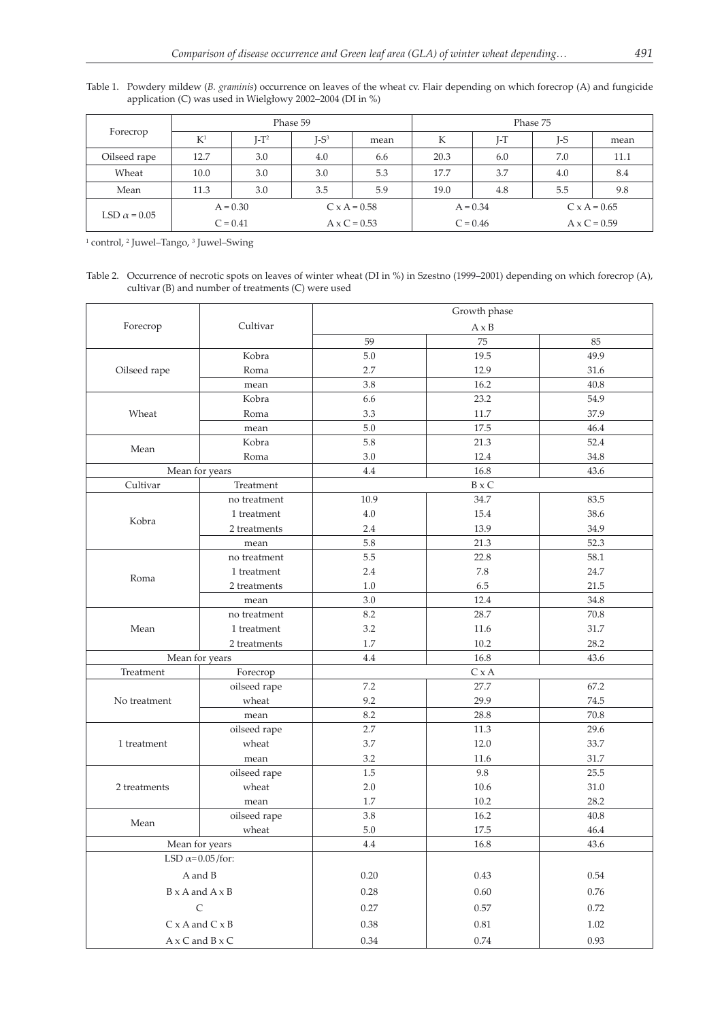Table 1. Powdery mildew (*B. graminis*) occurrence on leaves of the wheat cv. Flair depending on which forecrop (A) and fungicide application (C) was used in Wielgłowy 2002–2004 (DI in %)

| Forecrop            | Phase 59   |         |                     |      | Phase 75   |     |                     |      |
|---------------------|------------|---------|---------------------|------|------------|-----|---------------------|------|
|                     | $K^1$      | $I-T^2$ | $I-S^3$             | mean | К          | I-T | I-S                 | mean |
| Oilseed rape        | 12.7       | 3.0     | 4.0                 | 6.6  | 20.3       | 6.0 | 7.0                 | 11.1 |
| Wheat               | 10.0       | 3.0     | 3.0                 | 5.3  | 17.7       | 3.7 | 4.0                 | 8.4  |
| Mean                | 11.3       | 3.0     | 3.5                 | 5.9  | 19.0       | 4.8 | 5.5                 | 9.8  |
|                     | $A = 0.30$ |         | $C \times A = 0.58$ |      | $A = 0.34$ |     | $C \times A = 0.65$ |      |
| LSD $\alpha$ = 0.05 | $C = 0.41$ |         | $A \times C = 0.53$ |      | $C = 0.46$ |     | $A \times C = 0.59$ |      |

<sup>1</sup> control, <sup>2</sup> Juwel–Tango, <sup>3</sup> Juwel–Swing

Table 2. Occurrence of necrotic spots on leaves of winter wheat (DI in %) in Szestno (1999–2001) depending on which forecrop (A), cultivar (B) and number of treatments (C) were used

|                         |                               | Growth phase |              |          |  |  |  |
|-------------------------|-------------------------------|--------------|--------------|----------|--|--|--|
| Forecrop                | Cultivar                      |              | $A \times B$ |          |  |  |  |
|                         |                               | 59           | 75           | 85       |  |  |  |
|                         | Kobra                         | 5.0          | 19.5         | 49.9     |  |  |  |
| Oilseed rape            | Roma                          | 2.7          | 12.9         | 31.6     |  |  |  |
|                         | mean                          | 3.8          | 16.2         | 40.8     |  |  |  |
|                         | Kobra                         | 6.6          | 23.2         | 54.9     |  |  |  |
| Wheat                   | Roma                          | 3.3          | 11.7         | 37.9     |  |  |  |
|                         | mean                          | $5.0\,$      | 17.5         | 46.4     |  |  |  |
| Mean                    | Kobra                         | 5.8          | 21.3         | 52.4     |  |  |  |
|                         | Roma                          | $3.0\,$      | 12.4         | 34.8     |  |  |  |
|                         | Mean for years                | 4.4          | 16.8         | 43.6     |  |  |  |
| Cultivar                | Treatment                     |              | $B \times C$ |          |  |  |  |
|                         | no treatment                  | 10.9         | 34.7         | 83.5     |  |  |  |
| Kobra                   | 1 treatment                   | $4.0\,$      | 15.4         | 38.6     |  |  |  |
|                         | 2 treatments                  | 2.4          | 13.9         | 34.9     |  |  |  |
|                         | mean                          | 5.8          | 21.3         | 52.3     |  |  |  |
|                         | no treatment                  | 5.5          | 22.8         | 58.1     |  |  |  |
|                         | 1 treatment                   | $2.4\,$      | $7.8\,$      | 24.7     |  |  |  |
| Roma                    | 2 treatments                  | 1.0          | 6.5          | 21.5     |  |  |  |
|                         | mean                          | 3.0          | 12.4         | 34.8     |  |  |  |
|                         | no treatment                  | 8.2          | 28.7         | $70.8\,$ |  |  |  |
| Mean                    | 1 treatment                   | 3.2          | 11.6         | 31.7     |  |  |  |
|                         | 2 treatments                  | 1.7          | 10.2         | 28.2     |  |  |  |
|                         | Mean for years                | 4.4          | 16.8         | 43.6     |  |  |  |
| Treatment               | Forecrop                      | C x A        |              |          |  |  |  |
|                         | oilseed rape                  | 7.2          | 27.7         | 67.2     |  |  |  |
| No treatment            | wheat                         | 9.2          | 29.9         | 74.5     |  |  |  |
|                         | mean                          | 8.2          | 28.8         | 70.8     |  |  |  |
|                         | oilseed rape                  | 2.7          | 11.3         | 29.6     |  |  |  |
| 1 treatment             | wheat                         | 3.7          | 12.0         | 33.7     |  |  |  |
|                         | mean                          | 3.2          | 11.6         | 31.7     |  |  |  |
|                         | oilseed rape                  | $1.5\,$      | 9.8          | 25.5     |  |  |  |
| 2 treatments            | wheat                         | $2.0\,$      | 10.6         | 31.0     |  |  |  |
|                         | mean                          | 1.7          | 10.2         | 28.2     |  |  |  |
|                         | oilseed rape                  | 3.8          | 16.2         | 40.8     |  |  |  |
| Mean                    | wheat                         | $5.0\,$      | 17.5         | 46.4     |  |  |  |
|                         | Mean for years                | 4.4          | 16.8         | 43.6     |  |  |  |
| LSD $\alpha$ =0.05/for: |                               |              |              |          |  |  |  |
|                         | A and B                       | $0.20\,$     | 0.43         | 0.54     |  |  |  |
|                         | $B \times A$ and $A \times B$ | 0.28         | 0.60         | 0.76     |  |  |  |
|                         | $\mathsf C$                   | 0.27         | 0.57         | 0.72     |  |  |  |
|                         | $C \times A$ and $C \times B$ | 0.38         | $0.81\,$     | 1.02     |  |  |  |
|                         | $A \times C$ and $B \times C$ | 0.34         | 0.74         | 0.93     |  |  |  |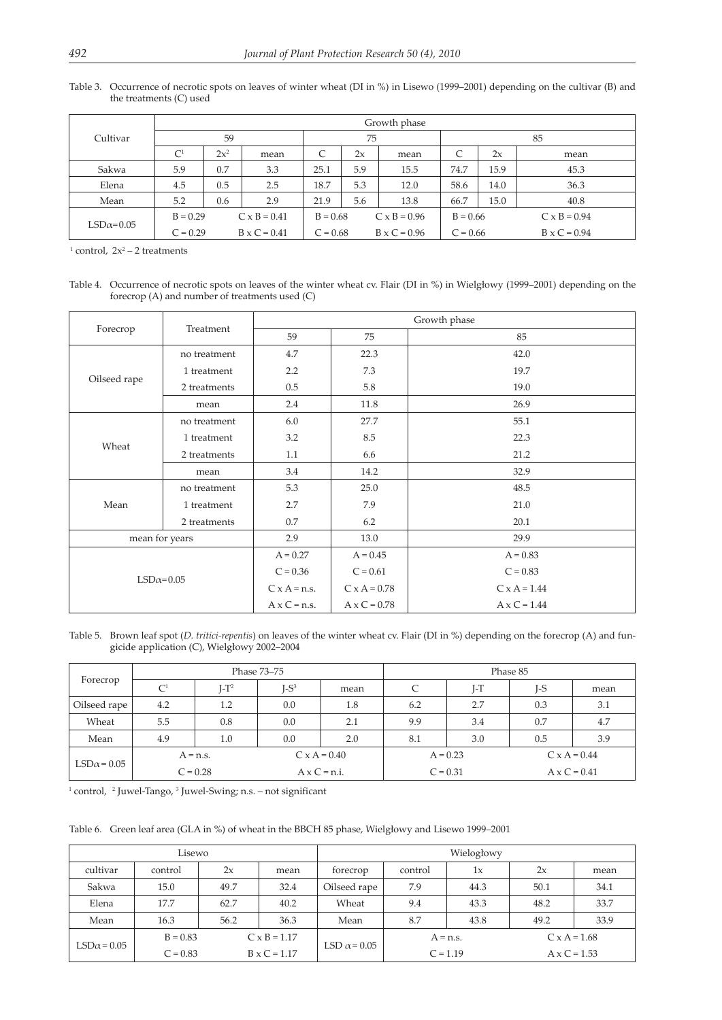|                  | Growth phase                      |        |                     |            |     |                     |            |      |                     |
|------------------|-----------------------------------|--------|---------------------|------------|-----|---------------------|------------|------|---------------------|
| Cultivar         | 59                                |        |                     | 75         |     |                     | 85         |      |                     |
|                  | $\mathsf{C}^1$                    | $2x^2$ | mean                | C          | 2x  | mean                | C          | 2x   | mean                |
| Sakwa            | 5.9                               | 0.7    | 3.3                 | 25.1       | 5.9 | 15.5                | 74.7       | 15.9 | 45.3                |
| Elena            | 4.5                               | 0.5    | 2.5                 | 18.7       | 5.3 | 12.0                | 58.6       | 14.0 | 36.3                |
| Mean             | 5.2                               | 0.6    | 2.9                 | 21.9       | 5.6 | 13.8                | 66.7       | 15.0 | 40.8                |
| $LSD\alpha=0.05$ | $B = 0.29$<br>$C \times B = 0.41$ |        |                     | $B = 0.68$ |     | $C \times B = 0.96$ | $B = 0.66$ |      | $C \times B = 0.94$ |
|                  | $C = 0.29$                        |        | $B \times C = 0.41$ | $C = 0.68$ |     | $B \times C = 0.96$ | $C = 0.66$ |      | $B \times C = 0.94$ |

Table 3. Occurrence of necrotic spots on leaves of winter wheat (DI in %) in Lisewo (1999–2001) depending on the cultivar (B) and the treatments (C) used

<sup>1</sup> control,  $2x^2 - 2$  treatments

Table 4. Occurrence of necrotic spots on leaves of the winter wheat cv. Flair (DI in %) in Wielgłowy (1999–2001) depending on the forecrop (A) and number of treatments used (C)

| Forecrop         |                | Growth phase        |                     |                     |  |  |  |
|------------------|----------------|---------------------|---------------------|---------------------|--|--|--|
|                  | Treatment      | 59                  | 75                  | 85                  |  |  |  |
|                  | no treatment   | 4.7                 | 22.3                | 42.0                |  |  |  |
|                  | 1 treatment    | 2.2                 | 7.3                 | 19.7                |  |  |  |
| Oilseed rape     | 2 treatments   | 0.5                 | 5.8                 | 19.0                |  |  |  |
|                  | mean           | 2.4                 | 11.8                | 26.9                |  |  |  |
|                  | no treatment   | 6.0                 | 27.7                | 55.1                |  |  |  |
| Wheat            | 1 treatment    | 3.2                 | $\!\!8.5\!$         | 22.3                |  |  |  |
|                  | 2 treatments   | 1.1                 | 6.6                 | 21.2                |  |  |  |
|                  | mean           | 3.4                 | 14.2                | 32.9                |  |  |  |
|                  | no treatment   | 5.3                 | 25.0                | 48.5                |  |  |  |
| Mean             | 1 treatment    | 2.7                 | 7.9                 | 21.0                |  |  |  |
|                  | 2 treatments   | 0.7                 | 6.2                 | 20.1                |  |  |  |
|                  | mean for years |                     | 13.0                | 29.9                |  |  |  |
| $LSD\alpha=0.05$ |                | $A = 0.27$          | $A = 0.45$          | $A = 0.83$          |  |  |  |
|                  |                | $C = 0.36$          | $C = 0.61$          | $C = 0.83$          |  |  |  |
|                  |                | $C \times A = n.s.$ | $C \times A = 0.78$ | $C \times A = 1.44$ |  |  |  |
|                  |                | $Ax C = n.s.$       | $A \times C = 0.78$ | $A \times C = 1.44$ |  |  |  |

Table 5. Brown leaf spot (*D. tritici-repentis*) on leaves of the winter wheat cv. Flair (DI in %) depending on the forecrop (A) and fungicide application (C), Wielgłowy 2002–2004

| Forecrop           |                |            | Phase 73–75         |      | Phase 85   |       |                     |      |
|--------------------|----------------|------------|---------------------|------|------------|-------|---------------------|------|
|                    | C <sup>1</sup> | $I-T^2$    | $I-S^3$             | mean |            | $I-T$ | J-S                 | mean |
| Oilseed rape       | 4.2            | 1.2        | 0.0                 | 1.8  | 6.2        | 2.7   | 0.3                 | 3.1  |
| Wheat              | 5.5            | 0.8        | 0.0                 | 2.1  | 9.9        | 3.4   | 0.7                 | 4.7  |
| Mean               | 4.9            | 1.0        | 0.0                 | 2.0  | 8.1        | 3.0   | 0.5                 | 3.9  |
| $LSD\alpha = 0.05$ | $A = n.s.$     |            | $C \times A = 0.40$ |      | $A = 0.23$ |       | $C \times A = 0.44$ |      |
|                    |                | $C = 0.28$ | $Ax C = n.i.$       |      | $C = 0.31$ |       | $A \times C = 0.41$ |      |

<sup>1</sup> control, <sup>2</sup> Juwel-Tango, <sup>3</sup> Juwel-Swing; n.s. – not significant

Table 6. Green leaf area (GLA in %) of wheat in the BBCH 85 phase, Wielgłowy and Lisewo 1999–2001

| Lisewo             |            |      |                     |                     | Wielogłowy |      |                     |      |  |
|--------------------|------------|------|---------------------|---------------------|------------|------|---------------------|------|--|
| cultivar           | control    | 2x   | mean                | forecrop            | control    | 1x   | 2x                  | mean |  |
| Sakwa              | 15.0       | 49.7 | 32.4                | Oilseed rape        | 7.9        | 44.3 | 50.1                | 34.1 |  |
| Elena              | 17.7       | 62.7 | 40.2                | Wheat               | 9.4        | 43.3 | 48.2                | 33.7 |  |
| Mean               | 16.3       | 56.2 | 36.3                | Mean                | 8.7        | 43.8 | 49.2                | 33.9 |  |
|                    | $B = 0.83$ |      | $C \times B = 1.17$ |                     | $A = n.s.$ |      | $C \times A = 1.68$ |      |  |
| $LSD\alpha = 0.05$ | $C = 0.83$ |      | $B \times C = 1.17$ | LSD $\alpha$ = 0.05 | $C = 1.19$ |      | $A \times C = 1.53$ |      |  |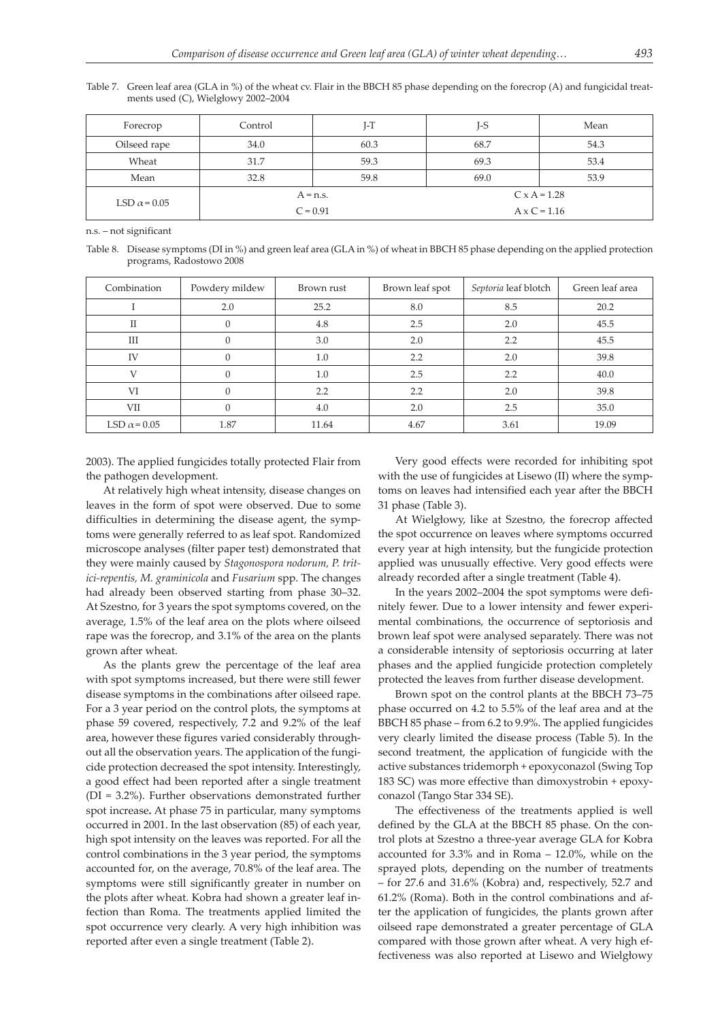Table 7. Green leaf area (GLA in %) of the wheat cv. Flair in the BBCH 85 phase depending on the forecrop (A) and fungicidal treatments used (C), Wielgłowy 2002–2004

| Forecrop            | Control    | $I-T$ | $I-S$               | Mean |  |
|---------------------|------------|-------|---------------------|------|--|
| Oilseed rape        | 34.0       | 60.3  | 68.7                | 54.3 |  |
| Wheat               | 31.7       | 59.3  | 69.3                | 53.4 |  |
| Mean                | 32.8       | 59.8  | 69.0                | 53.9 |  |
| LSD $\alpha$ = 0.05 | $A = n.s.$ |       | $C \times A = 1.28$ |      |  |
|                     | $C = 0.91$ |       | $A \times C = 1.16$ |      |  |

n.s. – not significant

Table 8. Disease symptoms (DI in %) and green leaf area (GLA in %) of wheat in BBCH 85 phase depending on the applied protection programs, Radostowo 2008

| Combination         | Powdery mildew | Brown rust | Brown leaf spot | Septoria leaf blotch | Green leaf area |
|---------------------|----------------|------------|-----------------|----------------------|-----------------|
|                     | 2.0            | 25.2       | 8.0             | 8.5                  | 20.2            |
| $\rm II$            | $\Omega$       | 4.8        | 2.5             | 2.0                  | 45.5            |
| Ш                   | $\Omega$       | 3.0        | 2.0             | 2.2                  | 45.5            |
| IV                  | $\Omega$       | 1.0        | 2.2             | 2.0                  | 39.8            |
| V                   | $\Omega$       | 1.0        | 2.5             | 2.2                  | 40.0            |
| VI                  | $\Omega$       | 2.2        | 2.2             | 2.0                  | 39.8            |
| VII                 | $\Omega$       | 4.0        | 2.0             | 2.5                  | 35.0            |
| LSD $\alpha$ = 0.05 | 1.87           | 11.64      | 4.67            | 3.61                 | 19.09           |

2003). The applied fungicides totally protected Flair from the pathogen development.

At relatively high wheat intensity, disease changes on leaves in the form of spot were observed. Due to some difficulties in determining the disease agent, the symptoms were generally referred to as leaf spot. Randomized microscope analyses (filter paper test) demonstrated that they were mainly caused by *Stagonospora nodorum, P. tritici-repentis, M. graminicola* and *Fusarium* spp. The changes had already been observed starting from phase 30–32. At Szestno, for 3 years the spot symptoms covered, on the average, 1.5% of the leaf area on the plots where oilseed rape was the forecrop, and 3.1% of the area on the plants grown after wheat.

As the plants grew the percentage of the leaf area with spot symptoms increased, but there were still fewer disease symptoms in the combinations after oilseed rape. For a 3 year period on the control plots, the symptoms at phase 59 covered, respectively, 7.2 and 9.2% of the leaf area, however these figures varied considerably throughout all the observation years. The application of the fungicide protection decreased the spot intensity. Interestingly, a good effect had been reported after a single treatment (DI = 3.2%). Further observations demonstrated further spot increase**.** At phase 75 in particular, many symptoms occurred in 2001. In the last observation (85) of each year, high spot intensity on the leaves was reported. For all the control combinations in the 3 year period, the symptoms accounted for, on the average, 70.8% of the leaf area. The symptoms were still significantly greater in number on the plots after wheat. Kobra had shown a greater leaf infection than Roma. The treatments applied limited the spot occurrence very clearly. A very high inhibition was reported after even a single treatment (Table 2).

Very good effects were recorded for inhibiting spot with the use of fungicides at Lisewo (II) where the symptoms on leaves had intensified each year after the BBCH 31 phase (Table 3).

At Wielgłowy, like at Szestno, the forecrop affected the spot occurrence on leaves where symptoms occurred every year at high intensity, but the fungicide protection applied was unusually effective. Very good effects were already recorded after a single treatment (Table 4).

In the years 2002–2004 the spot symptoms were definitely fewer. Due to a lower intensity and fewer experimental combinations, the occurrence of septoriosis and brown leaf spot were analysed separately. There was not a considerable intensity of septoriosis occurring at later phases and the applied fungicide protection completely protected the leaves from further disease development.

Brown spot on the control plants at the BBCH 73–75 phase occurred on 4.2 to 5.5% of the leaf area and at the BBCH 85 phase – from 6.2 to 9.9%. The applied fungicides very clearly limited the disease process (Table 5). In the second treatment, the application of fungicide with the active substances tridemorph + epoxyconazol (Swing Top 183 SC) was more effective than dimoxystrobin + epoxyconazol (Tango Star 334 SE).

The effectiveness of the treatments applied is well defined by the GLA at the BBCH 85 phase. On the control plots at Szestno a three-year average GLA for Kobra accounted for 3.3% and in Roma – 12.0%, while on the sprayed plots, depending on the number of treatments – for 27.6 and 31.6% (Kobra) and, respectively, 52.7 and 61.2% (Roma). Both in the control combinations and after the application of fungicides, the plants grown after oilseed rape demonstrated a greater percentage of GLA compared with those grown after wheat. A very high effectiveness was also reported at Lisewo and Wielgłowy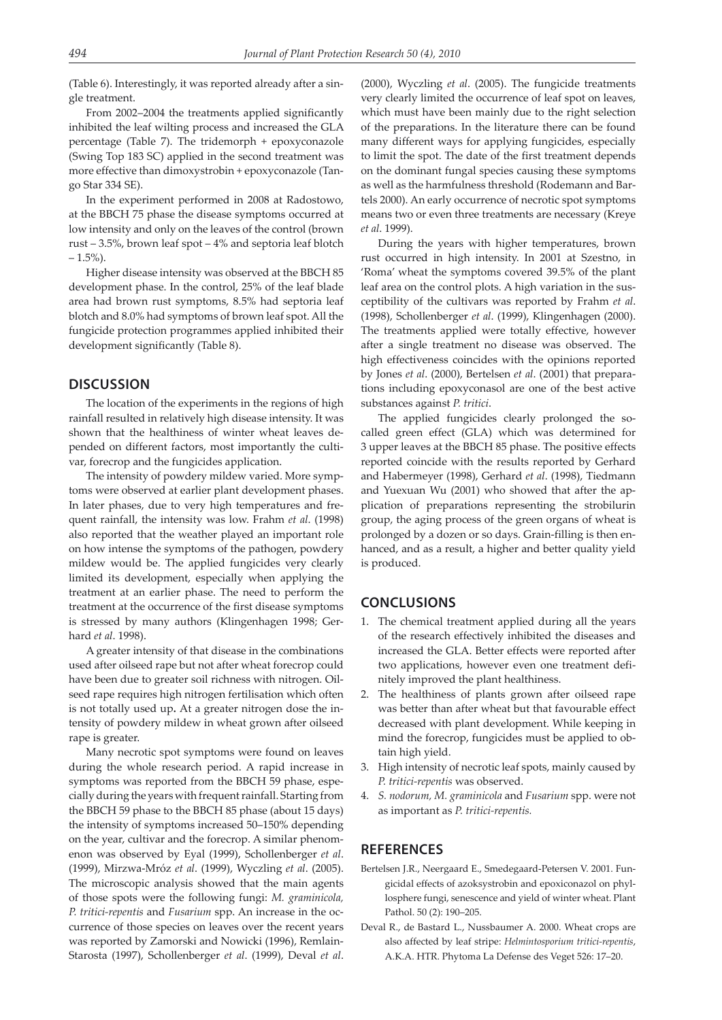(Table 6). Interestingly, it was reported already after a single treatment.

From 2002–2004 the treatments applied significantly inhibited the leaf wilting process and increased the GLA percentage (Table 7). The tridemorph + epoxyconazole (Swing Top 183 SC) applied in the second treatment was more effective than dimoxystrobin + epoxyconazole (Tango Star 334 SE).

In the experiment performed in 2008 at Radostowo, at the BBCH 75 phase the disease symptoms occurred at low intensity and only on the leaves of the control (brown rust – 3.5%, brown leaf spot – 4% and septoria leaf blotch  $-1.5%$ ).

Higher disease intensity was observed at the BBCH 85 development phase. In the control, 25% of the leaf blade area had brown rust symptoms, 8.5% had septoria leaf blotch and 8.0% had symptoms of brown leaf spot. All the fungicide protection programmes applied inhibited their development significantly (Table 8).

#### **DISCUSSION**

The location of the experiments in the regions of high rainfall resulted in relatively high disease intensity. It was shown that the healthiness of winter wheat leaves depended on different factors, most importantly the cultivar, forecrop and the fungicides application.

The intensity of powdery mildew varied. More symptoms were observed at earlier plant development phases. In later phases, due to very high temperatures and frequent rainfall, the intensity was low. Frahm *et al*. (1998) also reported that the weather played an important role on how intense the symptoms of the pathogen, powdery mildew would be. The applied fungicides very clearly limited its development, especially when applying the treatment at an earlier phase. The need to perform the treatment at the occurrence of the first disease symptoms is stressed by many authors (Klingenhagen 1998; Gerhard *et al*. 1998).

A greater intensity of that disease in the combinations used after oilseed rape but not after wheat forecrop could have been due to greater soil richness with nitrogen. Oilseed rape requires high nitrogen fertilisation which often is not totally used up**.** At a greater nitrogen dose the intensity of powdery mildew in wheat grown after oilseed rape is greater.

Many necrotic spot symptoms were found on leaves during the whole research period. A rapid increase in symptoms was reported from the BBCH 59 phase, especially during the years with frequent rainfall. Starting from the BBCH 59 phase to the BBCH 85 phase (about 15 days) the intensity of symptoms increased 50–150% depending on the year, cultivar and the forecrop. A similar phenomenon was observed by Eyal (1999), Schollenberger *et al*. (1999), Mirzwa-Mróz *et al*. (1999), Wyczling *et al*. (2005). The microscopic analysis showed that the main agents of those spots were the following fungi: *M. graminicola, P. tritici-repentis* and *Fusarium* spp. An increase in the occurrence of those species on leaves over the recent years was reported by Zamorski and Nowicki (1996), Remlain-Starosta (1997), Schollenberger *et al*. (1999), Deval *et al*. (2000), Wyczling *et al*. (2005). The fungicide treatments very clearly limited the occurrence of leaf spot on leaves, which must have been mainly due to the right selection of the preparations. In the literature there can be found many different ways for applying fungicides, especially to limit the spot. The date of the first treatment depends on the dominant fungal species causing these symptoms as well as the harmfulness threshold (Rodemann and Bartels 2000). An early occurrence of necrotic spot symptoms means two or even three treatments are necessary (Kreye *et al*. 1999).

During the years with higher temperatures, brown rust occurred in high intensity. In 2001 at Szestno, in 'Roma' wheat the symptoms covered 39.5% of the plant leaf area on the control plots. A high variation in the susceptibility of the cultivars was reported by Frahm *et al*. (1998), Schollenberger *et al*. (1999), Klingenhagen (2000). The treatments applied were totally effective, however after a single treatment no disease was observed. The high effectiveness coincides with the opinions reported by Jones *et al*. (2000), Bertelsen *et al*. (2001) that preparations including epoxyconasol are one of the best active substances against *P. tritici*.

The applied fungicides clearly prolonged the socalled green effect (GLA) which was determined for 3 upper leaves at the BBCH 85 phase. The positive effects reported coincide with the results reported by Gerhard and Habermeyer (1998), Gerhard *et al*. (1998), Tiedmann and Yuexuan Wu (2001) who showed that after the application of preparations representing the strobilurin group, the aging process of the green organs of wheat is prolonged by a dozen or so days. Grain-filling is then enhanced, and as a result, a higher and better quality yield is produced.

## **CONCLUSIONS**

- 1. The chemical treatment applied during all the years of the research effectively inhibited the diseases and increased the GLA. Better effects were reported after two applications, however even one treatment definitely improved the plant healthiness.
- 2. The healthiness of plants grown after oilseed rape was better than after wheat but that favourable effect decreased with plant development. While keeping in mind the forecrop, fungicides must be applied to obtain high yield.
- 3. High intensity of necrotic leaf spots, mainly caused by *P. tritici-repentis* was observed.
- 4. *S. nodorum, M. graminicola* and *Fusarium* spp. were not as important as *P. tritici-repentis.*

#### **REFERENCES**

- Bertelsen J.R., Neergaard E., Smedegaard-Petersen V. 2001. Fungicidal effects of azoksystrobin and epoxiconazol on phyllosphere fungi, senescence and yield of winter wheat. Plant Pathol. 50 (2): 190–205.
- Deval R., de Bastard L., Nussbaumer A. 2000. Wheat crops are also affected by leaf stripe: *Helmintosporium tritici-repentis*, A.K.A. HTR. Phytoma La Defense des Veget 526: 17–20.